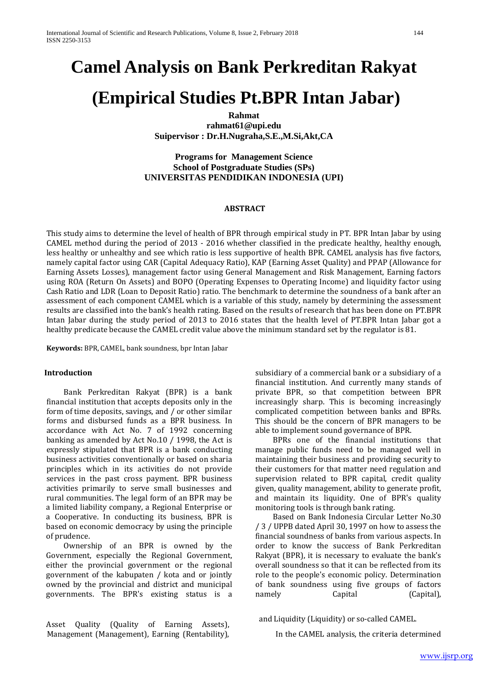# **Camel Analysis on Bank Perkreditan Rakyat**

# **(Empirical Studies Pt.BPR Intan Jabar)**

**Rahmat rahmat61@upi.edu Suipervisor : Dr.H.Nugraha,S.E.,M.Si,Akt,CA**

## **Programs for Management Science School of Postgraduate Studies (SPs) UNIVERSITAS PENDIDIKAN INDONESIA (UPI)**

#### **ABSTRACT**

This study aims to determine the level of health of BPR through empirical study in PT. BPR Intan Jabar by using CAMEL method during the period of 2013 - 2016 whether classified in the predicate healthy, healthy enough, less healthy or unhealthy and see which ratio is less supportive of health BPR. CAMEL analysis has five factors, namely capital factor using CAR (Capital Adequacy Ratio), KAP (Earning Asset Quality) and PPAP (Allowance for Earning Assets Losses), management factor using General Management and Risk Management, Earning factors using ROA (Return On Assets) and BOPO (Operating Expenses to Operating Income) and liquidity factor using Cash Ratio and LDR (Loan to Deposit Ratio) ratio. The benchmark to determine the soundness of a bank after an assessment of each component CAMEL which is a variable of this study, namely by determining the assessment results are classified into the bank's health rating. Based on the results of research that has been done on PT.BPR Intan Jabar during the study period of 2013 to 2016 states that the health level of PT.BPR Intan Jabar got a healthy predicate because the CAMEL credit value above the minimum standard set by the regulator is 81.

**Keywords:** BPR, CAMEL, bank soundness, bpr Intan Jabar

#### **Introduction**

Bank Perkreditan Rakyat (BPR) is a bank financial institution that accepts deposits only in the form of time deposits, savings, and / or other similar forms and disbursed funds as a BPR business. In accordance with Act No. 7 of 1992 concerning banking as amended by Act No.10 / 1998, the Act is expressly stipulated that BPR is a bank conducting business activities conventionally or based on sharia principles which in its activities do not provide services in the past cross payment. BPR business activities primarily to serve small businesses and rural communities. The legal form of an BPR may be a limited liability company, a Regional Enterprise or a Cooperative. In conducting its business, BPR is based on economic democracy by using the principle of prudence.

Ownership of an BPR is owned by the Government, especially the Regional Government, either the provincial government or the regional government of the kabupaten / kota and or jointly owned by the provincial and district and municipal governments. The BPR's existing status is a

Asset Quality (Quality of Earning Assets), Management (Management), Earning (Rentability), subsidiary of a commercial bank or a subsidiary of a financial institution. And currently many stands of private BPR, so that competition between BPR increasingly sharp. This is becoming increasingly complicated competition between banks and BPRs. This should be the concern of BPR managers to be able to implement sound governance of BPR.

BPRs one of the financial institutions that manage public funds need to be managed well in maintaining their business and providing security to their customers for that matter need regulation and supervision related to BPR capital, credit quality given, quality management, ability to generate profit, and maintain its liquidity. One of BPR's quality monitoring tools is through bank rating.

Based on Bank Indonesia Circular Letter No.30 / 3 / UPPB dated April 30, 1997 on how to assess the financial soundness of banks from various aspects. In order to know the success of Bank Perkreditan Rakyat (BPR), it is necessary to evaluate the bank's overall soundness so that it can be reflected from its role to the people's economic policy. Determination of bank soundness using five groups of factors (Capital),

and Liquidity (Liquidity) or so-called CAMEL.

In the CAMEL analysis, the criteria determined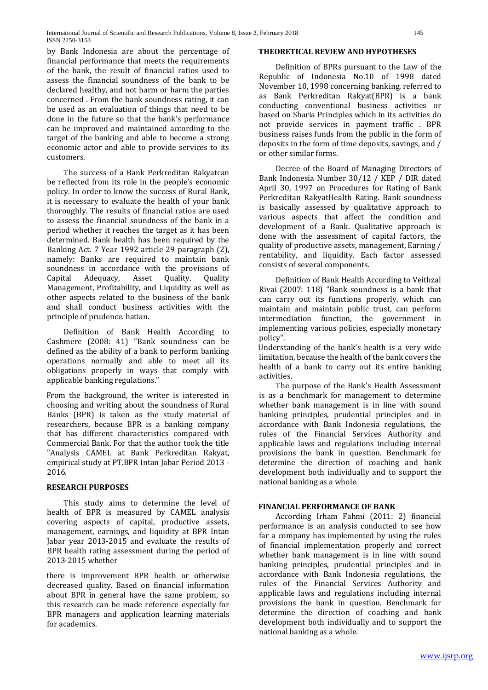by Bank Indonesia are about the percentage of financial performance that meets the requirements of the bank, the result of financial ratios used to assess the financial soundness of the bank to be declared healthy, and not harm or harm the parties concerned . From the bank soundness rating, it can be used as an evaluation of things that need to be done in the future so that the bank's performance can be improved and maintained according to the target of the banking and able to become a strong economic actor and able to provide services to its customers.

The success of a Bank Perkreditan Rakyatcan be reflected from its role in the people's economic policy. In order to know the success of Rural Bank, it is necessary to evaluate the health of your bank thoroughly. The results of financial ratios are used to assess the financial soundness of the bank in a period whether it reaches the target as it has been determined. Bank health has been required by the Banking Act. 7 Year 1992 article 29 paragraph (2), namely: Banks are required to maintain bank soundness in accordance with the provisions of<br>Capital Adequacy. Asset Ouality. Ouality Adequacy, Management, Profitability, and Liquidity as well as other aspects related to the business of the bank and shall conduct business activities with the principle of prudence. hatian.

Definition of Bank Health According to Cashmere (2008: 41) "Bank soundness can be defined as the ability of a bank to perform banking operations normally and able to meet all its obligations properly in ways that comply with applicable banking regulations."

From the background, the writer is interested in choosing and writing about the soundness of Rural Banks (BPR) is taken as the study material of researchers, because BPR is a banking company that has different characteristics compared with Commercial Bank. For that the author took the title "Analysis CAMEL at Bank Perkreditan Rakyat, empirical study at PT.BPR Intan Jabar Period 2013 - 2016.

#### **RESEARCH PURPOSES**

This study aims to determine the level of health of BPR is measured by CAMEL analysis covering aspects of capital, productive assets, management, earnings, and liquidity at BPR Intan Jabar year 2013-2015 and evaluate the results of BPR health rating assessment during the period of 2013-2015 whether

there is improvement BPR health or otherwise decreased quality. Based on financial information about BPR in general have the same problem, so this research can be made reference especially for BPR managers and application learning materials for academics.

#### **THEORETICAL REVIEW AND HYPOTHESES**

Definition of BPRs pursuant to the Law of the Republic of Indonesia No.10 of 1998 dated November 10, 1998 concerning banking, referred to as Bank Perkreditan Rakyat(BPR) is a bank conducting conventional business activities or based on Sharia Principles which in its activities do not provide services in payment traffic . BPR business raises funds from the public in the form of deposits in the form of time deposits, savings, and / or other similar forms.

Decree of the Board of Managing Directors of Bank Indonesia Number 30/12 / KEP / DIR dated April 30, 1997 on Procedures for Rating of Bank Perkreditan RakyatHealth Rating. Bank soundness is basically assessed by qualitative approach to various aspects that affect the condition and development of a Bank. Qualitative approach is done with the assessment of capital factors, the quality of productive assets, management, Earning / rentability, and liquidity. Each factor assessed consists of several components.

Definition of Bank Health According to Veithzal Rivai (2007: 118) "Bank soundness is a bank that can carry out its functions properly, which can maintain and maintain public trust, can perform intermediation function, the government in implementing various policies, especially monetary policy".

Understanding of the bank's health is a very wide limitation, because the health of the bank covers the health of a bank to carry out its entire banking activities.

The purpose of the Bank's Health Assessment is as a benchmark for management to determine whether bank management is in line with sound banking principles, prudential principles and in accordance with Bank Indonesia regulations, the rules of the Financial Services Authority and applicable laws and regulations including internal provisions the bank in question. Benchmark for determine the direction of coaching and bank development both individually and to support the national banking as a whole.

# **FINANCIAL PERFORMANCE OF BANK**

According Irham Fahmi (2011: 2) financial performance is an analysis conducted to see how far a company has implemented by using the rules of financial implementation properly and correct whether bank management is in line with sound banking principles, prudential principles and in accordance with Bank Indonesia regulations, the rules of the Financial Services Authority and applicable laws and regulations including internal provisions the bank in question. Benchmark for determine the direction of coaching and bank development both individually and to support the national banking as a whole.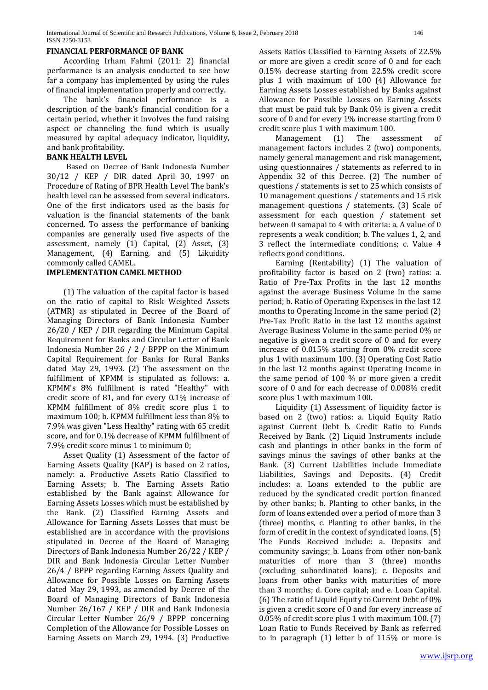#### **FINANCIAL PERFORMANCE OF BANK**

According Irham Fahmi (2011: 2) financial performance is an analysis conducted to see how far a company has implemented by using the rules of financial implementation properly and correctly.

The bank's financial performance is a description of the bank's financial condition for a certain period, whether it involves the fund raising aspect or channeling the fund which is usually measured by capital adequacy indicator, liquidity, and bank profitability.

#### **BANK HEALTH LEVEL**

 Based on Decree of Bank Indonesia Number 30/12 / KEP / DIR dated April 30, 1997 on Procedure of Rating of BPR Health Level The bank's health level can be assessed from several indicators. One of the first indicators used as the basis for valuation is the financial statements of the bank concerned. To assess the performance of banking companies are generally used five aspects of the assessment, namely (1) Capital, (2) Asset, (3) Management, (4) Earning, and (5) Likuidity commonly called CAMEL.

#### **IMPLEMENTATION CAMEL METHOD**

(1) The valuation of the capital factor is based on the ratio of capital to Risk Weighted Assets (ATMR) as stipulated in Decree of the Board of Managing Directors of Bank Indonesia Number 26/20 / KEP / DIR regarding the Minimum Capital Requirement for Banks and Circular Letter of Bank Indonesia Number 26 / 2 / BPPP on the Minimum Capital Requirement for Banks for Rural Banks dated May 29, 1993. (2) The assessment on the fulfillment of KPMM is stipulated as follows: a. KPMM's 8% fulfillment is rated "Healthy" with credit score of 81, and for every 0.1% increase of KPMM fulfillment of 8% credit score plus 1 to maximum 100; b. KPMM fulfillment less than 8% to 7.9% was given "Less Healthy" rating with 65 credit score, and for 0.1% decrease of KPMM fulfillment of 7.9% credit score minus 1 to minimum 0;

Asset Quality (1) Assessment of the factor of Earning Assets Quality (KAP) is based on 2 ratios, namely: a. Productive Assets Ratio Classified to Earning Assets; b. The Earning Assets Ratio established by the Bank against Allowance for Earning Assets Losses which must be established by the Bank. (2) Classified Earning Assets and Allowance for Earning Assets Losses that must be established are in accordance with the provisions stipulated in Decree of the Board of Managing Directors of Bank Indonesia Number 26/22 / KEP / DIR and Bank Indonesia Circular Letter Number 26/4 / BPPP regarding Earning Assets Quality and Allowance for Possible Losses on Earning Assets dated May 29, 1993, as amended by Decree of the Board of Managing Directors of Bank Indonesia Number 26/167 / KEP / DIR and Bank Indonesia Circular Letter Number 26/9 / BPPP concerning Completion of the Allowance for Possible Losses on Earning Assets on March 29, 1994. (3) Productive

Assets Ratios Classified to Earning Assets of 22.5% or more are given a credit score of 0 and for each 0.15% decrease starting from 22.5% credit score plus 1 with maximum of 100 (4) Allowance for Earning Assets Losses established by Banks against Allowance for Possible Losses on Earning Assets that must be paid tuk by Bank 0% is given a credit score of 0 and for every 1% increase starting from 0

credit score plus 1 with maximum 100.<br>Management (1) The assessment Management (1) The assessment of management factors includes 2 (two) components, namely general management and risk management, using questionnaires / statements as referred to in Appendix 32 of this Decree. (2) The number of questions / statements is set to 25 which consists of 10 management questions / statements and 15 risk management questions / statements. (3) Scale of assessment for each question / statement set between 0 samapai to 4 with criteria: a. A value of 0 represents a weak condition; b. The values 1, 2, and 3 reflect the intermediate conditions; c. Value 4 reflects good conditions.

Earning (Rentability) (1) The valuation of profitability factor is based on 2 (two) ratios: a. Ratio of Pre-Tax Profits in the last 12 months against the average Business Volume in the same period; b. Ratio of Operating Expenses in the last 12 months to Operating Income in the same period (2) Pre-Tax Profit Ratio in the last 12 months against Average Business Volume in the same period 0% or negative is given a credit score of 0 and for every increase of 0.015% starting from 0% credit score plus 1 with maximum 100. (3) Operating Cost Ratio in the last 12 months against Operating Income in the same period of 100 % or more given a credit score of 0 and for each decrease of 0.008% credit score plus 1 with maximum 100.

Liquidity (1) Assessment of liquidity factor is based on 2 (two) ratios: a. Liquid Equity Ratio against Current Debt b. Credit Ratio to Funds Received by Bank. (2) Liquid Instruments include cash and plantings in other banks in the form of savings minus the savings of other banks at the Bank. (3) Current Liabilities include Immediate Liabilities, Savings and Deposits. (4) Credit includes: a. Loans extended to the public are reduced by the syndicated credit portion financed by other banks; b. Planting to other banks, in the form of loans extended over a period of more than 3 (three) months, c. Planting to other banks, in the form of credit in the context of syndicated loans. (5) The Funds Received include: a. Deposits and community savings; b. Loans from other non-bank maturities of more than 3 (three) months (excluding subordinated loans); c. Deposits and loans from other banks with maturities of more than 3 months; d. Core capital; and e. Loan Capital. (6) The ratio of Liquid Equity to Current Debt of 0% is given a credit score of 0 and for every increase of 0.05% of credit score plus 1 with maximum 100. (7) Loan Ratio to Funds Received by Bank as referred to in paragraph (1) letter b of 115% or more is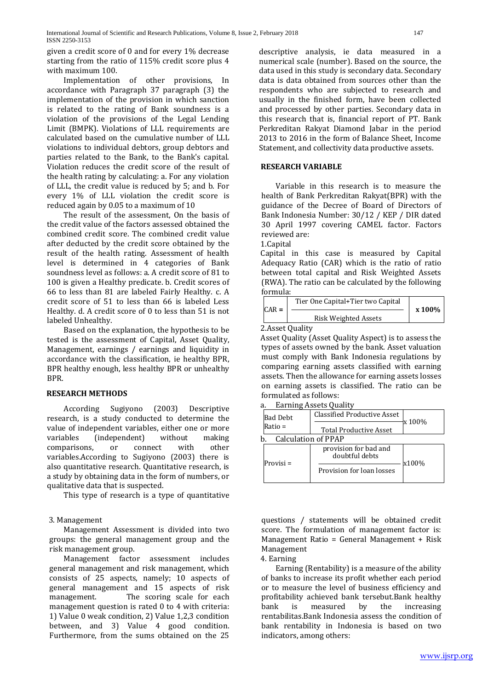given a credit score of 0 and for every 1% decrease starting from the ratio of 115% credit score plus 4 with maximum 100.

Implementation of other provisions, In accordance with Paragraph 37 paragraph (3) the implementation of the provision in which sanction is related to the rating of Bank soundness is a violation of the provisions of the Legal Lending Limit (BMPK). Violations of LLL requirements are calculated based on the cumulative number of LLL violations to individual debtors, group debtors and parties related to the Bank, to the Bank's capital. Violation reduces the credit score of the result of the health rating by calculating: a. For any violation of LLL, the credit value is reduced by 5; and b. For every 1% of LLL violation the credit score is reduced again by 0.05 to a maximum of 10

The result of the assessment, On the basis of the credit value of the factors assessed obtained the combined credit score. The combined credit value after deducted by the credit score obtained by the result of the health rating. Assessment of health level is determined in 4 categories of Bank soundness level as follows: a. A credit score of 81 to 100 is given a Healthy predicate. b. Credit scores of 66 to less than 81 are labeled Fairly Healthy. c. A credit score of 51 to less than 66 is labeled Less Healthy. d. A credit score of 0 to less than 51 is not labeled Unhealthy.

Based on the explanation, the hypothesis to be tested is the assessment of Capital, Asset Quality, Management, earnings / earnings and liquidity in accordance with the classification, ie healthy BPR, BPR healthy enough, less healthy BPR or unhealthy BPR.

#### **RESEARCH METHODS**

According Sugiyono (2003) Descriptive research, is a study conducted to determine the value of independent variables, either one or more<br>variables (independent) without making (independent) without making<br>or connect with other comparisons. variables.According to Sugiyono (2003) there is also quantitative research. Quantitative research, is a study by obtaining data in the form of numbers, or qualitative data that is suspected.

This type of research is a type of quantitative

## 3. Management

Management Assessment is divided into two groups: the general management group and the risk management group.

Management factor assessment includes general management and risk management, which consists of 25 aspects, namely; 10 aspects of general management and 15 aspects of risk The scoring scale for each management question is rated 0 to 4 with criteria: 1) Value 0 weak condition, 2) Value 1,2,3 condition between, and 3) Value 4 good condition. Furthermore, from the sums obtained on the 25

descriptive analysis, ie data measured in a numerical scale (number). Based on the source, the data used in this study is secondary data. Secondary data is data obtained from sources other than the respondents who are subjected to research and usually in the finished form, have been collected and processed by other parties. Secondary data in this research that is, financial report of PT. Bank Perkreditan Rakyat Diamond Jabar in the period 2013 to 2016 in the form of Balance Sheet, Income Statement, and collectivity data productive assets.

#### **RESEARCH VARIABLE**

Variable in this research is to measure the health of Bank Perkreditan Rakyat(BPR) with the guidance of the Decree of Board of Directors of Bank Indonesia Number: 30/12 / KEP / DIR dated 30 April 1997 covering CAMEL factor. Factors reviewed are:

1.Capital

Capital in this case is measured by Capital Adequacy Ratio (CAR) which is the ratio of ratio between total capital and Risk Weighted Assets (RWA). The ratio can be calculated by the following formula:

| $CAR =$ | Tier One Capital+Tier two Capital | x 100% |
|---------|-----------------------------------|--------|
|         | <b>Risk Weighted Assets</b>       |        |
|         | ) Accot Auality                   |        |

2.Asset Quality

Asset Quality (Asset Quality Aspect) is to assess the types of assets owned by the bank. Asset valuation must comply with Bank Indonesia regulations by comparing earning assets classified with earning assets. Then the allowance for earning assets losses on earning assets is classified. The ratio can be formulated as follows:

a. Earning Assets Quality

| Bad Debt                   | <b>Classified Productive Asset</b>      |        |
|----------------------------|-----------------------------------------|--------|
| Ratio =                    | <b>Total Productive Asset</b>           | x 100% |
| <b>Calculation of PPAP</b> |                                         |        |
| Provisi =                  | provision for bad and<br>doubtful debts | x100%  |
|                            | Provision for loan losses               |        |
|                            |                                         |        |

questions / statements will be obtained credit score. The formulation of management factor is: Management Ratio = General Management + Risk Management

4. Earning

Earning (Rentability) is a measure of the ability of banks to increase its profit whether each period or to measure the level of business efficiency and profitability achieved bank tersebut.Bank healthy<br>bank is measured by the increasing increasing rentabilitas.Bank Indonesia assess the condition of bank rentability in Indonesia is based on two indicators, among others: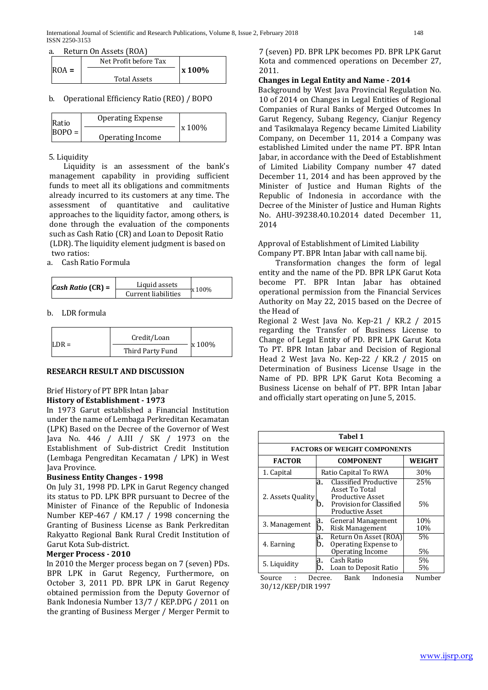|         | Net Profit before Tax |               |
|---------|-----------------------|---------------|
| $ROA =$ |                       | <b>x</b> 100% |
|         | <b>Total Assets</b>   |               |

b. Operational Efficiency Ratio (REO) / BOPO

| Ratio    | <b>Operating Expense</b> |         |
|----------|--------------------------|---------|
| $BOPO =$ | Operating Income         | x 100\% |

### 5. Liquidity

Liquidity is an assessment of the bank's management capability in providing sufficient funds to meet all its obligations and commitments already incurred to its customers at any time. The assessment of quantitative and caulitative approaches to the liquidity factor, among others, is done through the evaluation of the components such as Cash Ratio (CR) and Loan to Deposit Ratio (LDR). The liquidity element judgment is based on two ratios:

a. Cash Ratio Formula

| <i>Cash Ratio</i> ( $CR$ ) = | Liquid assets       | x 100% |
|------------------------------|---------------------|--------|
|                              | Current liabilities |        |

b. LDR formula

|         | Credit/Loan      |        |
|---------|------------------|--------|
| $LDR =$ | Third Party Fund | x 100% |

## **RESEARCH RESULT AND DISCUSSION**

#### Brief History of PT BPR Intan Jabar **History of Establishment - 1973**

In 1973 Garut established a Financial Institution under the name of Lembaga Perkreditan Kecamatan (LPK) Based on the Decree of the Governor of West Java No. 446 / A.III / SK / 1973 on the Establishment of Sub-district Credit Institution (Lembaga Pengreditan Kecamatan / LPK) in West Java Province.

#### **Business Entity Changes - 1998**

On July 31, 1998 PD. LPK in Garut Regency changed its status to PD. LPK BPR pursuant to Decree of the Minister of Finance of the Republic of Indonesia Number KEP-467 / KM.17 / 1998 concerning the Granting of Business License as Bank Perkreditan Rakyatto Regional Bank Rural Credit Institution of Garut Kota Sub-district.

#### **Merger Process - 2010**

In 2010 the Merger process began on 7 (seven) PDs. BPR LPK in Garut Regency, Furthermore, on October 3, 2011 PD. BPR LPK in Garut Regency obtained permission from the Deputy Governor of Bank Indonesia Number 13/7 / KEP.DPG / 2011 on the granting of Business Merger / Merger Permit to

7 (seven) PD. BPR LPK becomes PD. BPR LPK Garut Kota and commenced operations on December 27, 2011.

## **Changes in Legal Entity and Name - 2014**

Background by West Java Provincial Regulation No. 10 of 2014 on Changes in Legal Entities of Regional Companies of Rural Banks of Merged Outcomes In Garut Regency, Subang Regency, Cianjur Regency and Tasikmalaya Regency became Limited Liability Company, on December 11, 2014 a Company was established Limited under the name PT. BPR Intan Jabar, in accordance with the Deed of Establishment of Limited Liability Company number 47 dated December 11, 2014 and has been approved by the Minister of Justice and Human Rights of the Republic of Indonesia in accordance with the Decree of the Minister of Justice and Human Rights No. AHU-39238.40.10.2014 dated December 11, 2014

Approval of Establishment of Limited Liability Company PT. BPR Intan Jabar with call name bij.

Transformation changes the form of legal entity and the name of the PD. BPR LPK Garut Kota become PT. BPR Intan Jabar has obtained operational permission from the Financial Services Authority on May 22, 2015 based on the Decree of the Head of

Regional 2 West Java No. Kep-21 / KR.2 / 2015 regarding the Transfer of Business License to Change of Legal Entity of PD. BPR LPK Garut Kota To PT. BPR Intan Jabar and Decision of Regional Head 2 West Java No. Kep-22 / KR.2 / 2015 on Determination of Business License Usage in the Name of PD. BPR LPK Garut Kota Becoming a Business License on behalf of PT. BPR Intan Jabar and officially start operating on June 5, 2015.

| Tabel 1                                                                |                                                                                                                                |            |  |  |  |  |  |  |
|------------------------------------------------------------------------|--------------------------------------------------------------------------------------------------------------------------------|------------|--|--|--|--|--|--|
| <b>FACTORS OF WEIGHT COMPONENTS</b>                                    |                                                                                                                                |            |  |  |  |  |  |  |
| <b>FACTOR</b>                                                          | <b>COMPONENT</b>                                                                                                               | WEIGHT     |  |  |  |  |  |  |
| 1. Capital                                                             | Ratio Capital To RWA                                                                                                           | 30%        |  |  |  |  |  |  |
| 2. Assets Quality                                                      | Classified Productive<br>a.<br>Asset To Total<br><b>Productive Asset</b><br>Provision for Classified<br>b.<br>Productive Asset | 25%<br>5%  |  |  |  |  |  |  |
| 3. Management                                                          | a.<br>General Management<br>b.<br>Risk Management                                                                              | 10%<br>10% |  |  |  |  |  |  |
| 4. Earning                                                             | Return On Asset (ROA)<br>a.<br>Operating Expense to<br>b.<br>Operating Income                                                  | 5%<br>5%   |  |  |  |  |  |  |
| Cash Ratio<br>a.<br>5. Liquidity<br>b.<br>Loan to Deposit Ratio        |                                                                                                                                | 5%<br>5%   |  |  |  |  |  |  |
| Indonesia<br>Number<br>Bank<br>Source<br>Decree.<br>30/12/KEP/DIR 1997 |                                                                                                                                |            |  |  |  |  |  |  |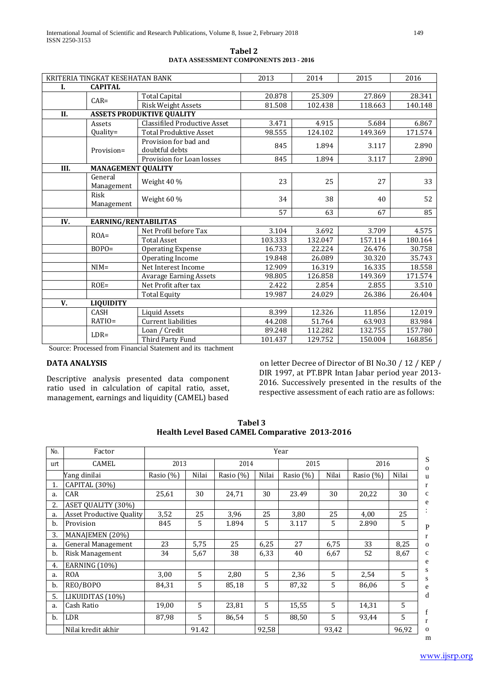|                  | KRITERIA TINGKAT KESEHATAN BANK   |                                         | 2013    | 2014    | 2015    | 2016    |
|------------------|-----------------------------------|-----------------------------------------|---------|---------|---------|---------|
| I.               | <b>CAPITAL</b>                    |                                         |         |         |         |         |
|                  | $CAR =$                           | <b>Total Capital</b>                    | 20.878  | 25.309  | 27.869  | 28.341  |
|                  |                                   | <b>Risk Weight Assets</b>               | 81.508  | 102.438 | 118.663 | 140.148 |
| II.              |                                   | <b>ASSETS PRODUKTIVE QUALITY</b>        |         |         |         |         |
|                  | Assets                            | <b>Classifiled Productive Asset</b>     | 3.471   | 4.915   | 5.684   | 6.867   |
|                  | Quality=                          | <b>Total Produktive Asset</b>           | 98.555  | 124.102 | 149.369 | 171.574 |
|                  | Provision=                        | Provision for bad and<br>doubtful debts | 845     | 1.894   | 3.117   | 2.890   |
|                  |                                   | Provision for Loan losses               | 845     | 1.894   | 3.117   | 2.890   |
| III.             | <b>MANAGEMENT QUALITY</b>         |                                         |         |         |         |         |
|                  | General                           | Weight 40 %                             | 23      | 25      | 27      | 33      |
|                  | Management                        |                                         |         |         |         |         |
|                  | Risk                              | Weight 60 %                             | 34      | 38      | 40      | 52      |
|                  | Management                        |                                         |         |         |         |         |
|                  |                                   |                                         | 57      | 63      | 67      | 85      |
| IV.              | EARNING/RENTABILITAS              |                                         |         |         |         |         |
|                  | $ROA=$                            | Net Profil before Tax                   | 3.104   | 3.692   | 3.709   | 4.575   |
|                  |                                   | <b>Total Asset</b>                      | 103.333 | 132.047 | 157.114 | 180.164 |
|                  | $BOPO=$                           | <b>Operating Expense</b>                | 16.733  | 22.224  | 26.476  | 30.758  |
|                  |                                   | Operating Income                        | 19.848  | 26.089  | 30.320  | 35.743  |
|                  | $NIM=$                            | Net Interest Income                     | 12.909  | 16.319  | 16.335  | 18.558  |
|                  |                                   | <b>Avarage Earning Assets</b>           | 98.805  | 126.858 | 149.369 | 171.574 |
|                  | $ROE =$                           | Net Profit after tax                    | 2.422   | 2.854   | 2.855   | 3.510   |
|                  |                                   | <b>Total Equity</b>                     | 19.987  | 24.029  | 26.386  | 26.404  |
| V.               | <b>LIQUIDITY</b>                  |                                         |         |         |         |         |
|                  | <b>CASH</b>                       | <b>Liquid Assets</b>                    | 8.399   | 12.326  | 11.856  | 12.019  |
|                  | RATIO=                            | <b>Current liabilities</b>              | 44.208  | 51.764  | 63.903  | 83.984  |
|                  |                                   | Loan / Credit                           | 89.248  | 112.282 | 132.755 | 157.780 |
| $\sim$<br>$\sim$ | $LDR =$<br>$\sim$<br>$\mathbf{r}$ | Third Party Fund<br>$\sim$ 1.4 $\sim$   | 101.437 | 129.752 | 150.004 | 168.856 |

Source: Processed from Financial Statement and its ttachment

#### **DATA ANALYSIS**

Descriptive analysis presented data component ratio used in calculation of capital ratio, asset, management, earnings and liquidity (CAMEL) based

on letter Decree of Director of BI No.30 / 12 / KEP / DIR 1997, at PT.BPR Intan Jabar period year 2013- 2016. Successively presented in the results of the respective assessment of each ratio are as follows:

| No. | Factor                          | Year      |       |           |       |           |       |              |       |
|-----|---------------------------------|-----------|-------|-----------|-------|-----------|-------|--------------|-------|
| urt | <b>CAMEL</b>                    | 2013      |       | 2014      |       | 2015      |       | 2016         |       |
|     | Yang dinilai                    | Rasio (%) | Nilai | Rasio (%) | Nilai | Rasio (%) | Nilai | Rasio $(\%)$ | Nilai |
| 1.  | CAPITAL (30%)                   |           |       |           |       |           |       |              |       |
| a.  | CAR                             | 25,61     | 30    | 24,71     | 30    | 23.49     | 30    | 20,22        | 30    |
| 2.  | <b>ASET OUALITY (30%)</b>       |           |       |           |       |           |       |              |       |
| a.  | <b>Asset Productive Quality</b> | 3,52      | 25    | 3,96      | 25    | 3.80      | 25    | 4.00         | 25    |
| b.  | Provision                       | 845       | 5     | 1.894     | 5     | 3.117     | 5     | 2.890        | 5     |
| 3.  | MANAJEMEN (20%)                 |           |       |           |       |           |       |              |       |
| a.  | General Management              | 23        | 5,75  | 25        | 6,25  | 27        | 6,75  | 33           | 8,25  |
| b.  | Risk Management                 | 34        | 5,67  | 38        | 6,33  | 40        | 6,67  | 52           | 8,67  |
| 4.  | <b>EARNING (10%)</b>            |           |       |           |       |           |       |              |       |
| a.  | <b>ROA</b>                      | 3,00      | 5     | 2,80      | 5     | 2,36      | 5     | 2,54         | 5     |
| b.  | REO/BOPO                        | 84,31     | 5     | 85,18     | 5     | 87,32     | 5     | 86,06        | 5     |
| 5.  | LIKUIDITAS (10%)                |           |       |           |       |           |       |              |       |
| a.  | Cash Ratio                      | 19,00     | 5     | 23,81     | 5     | 15,55     | 5     | 14,31        | 5     |
| b.  | LDR                             | 87,98     | 5     | 86,54     | 5     | 88,50     | 5     | 93,44        | 5     |
|     | Nilai kredit akhir              |           | 91.42 |           | 92,58 |           | 93,42 |              | 96,92 |

 **Tabel 3 Health Level Based CAMEL Comparative 2013-2016**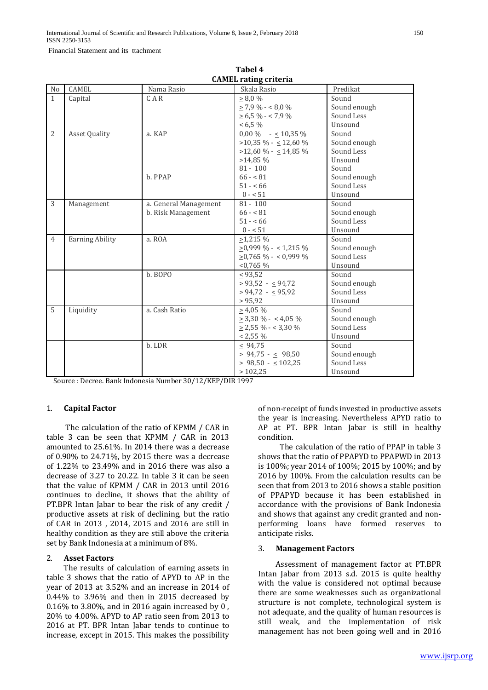Financial Statement and its ttachment

|                | <b>CAMEL rating criteria</b> |                                             |                                                                                                                                             |                                                                                       |  |  |  |  |
|----------------|------------------------------|---------------------------------------------|---------------------------------------------------------------------------------------------------------------------------------------------|---------------------------------------------------------------------------------------|--|--|--|--|
| N <sub>0</sub> | <b>CAMEL</b>                 | Nama Rasio                                  | Skala Rasio                                                                                                                                 | Predikat                                                                              |  |  |  |  |
| $\mathbf{1}$   | Capital                      | CAR                                         | $\geq 8.0 \%$<br>$> 7.9 \% - 6.0 \%$<br>$\geq 6.5\% - 7.9\%$<br>$< 6.5\%$                                                                   | Sound<br>Sound enough<br>Sound Less<br>Unsound                                        |  |  |  |  |
| $\overline{2}$ | <b>Asset Quality</b>         | a. KAP<br>b. PPAP                           | $0.00\%$ - $\leq 10.35\%$<br>$>10,35\%$ - $\leq 12,60\%$<br>$>12,60\% - \leq 14,85\%$<br>$>14,85\%$<br>$81 - 100$<br>$66 - 81$<br>$51 - 56$ | Sound<br>Sound enough<br>Sound Less<br>Unsound<br>Sound<br>Sound enough<br>Sound Less |  |  |  |  |
|                |                              |                                             | $0 - 51$                                                                                                                                    | Unsound                                                                               |  |  |  |  |
| 3              | Management                   | a. General Management<br>b. Risk Management | $81 - 100$<br>$66 - 81$<br>$51 - 66$<br>$0 - 51$                                                                                            | Sound<br>Sound enough<br>Sound Less<br>Unsound                                        |  |  |  |  |
| $\overline{4}$ | <b>Earning Ability</b>       | a. ROA                                      | $>1.215\%$<br>$\geq$ 0,999 % - < 1,215 %<br>$\geq$ 0,765 % - < 0,999 %<br>$< 0.765 \%$                                                      | Sound<br>Sound enough<br>Sound Less<br>Unsound                                        |  |  |  |  |
|                |                              | b. BOPO                                     | $\leq 93,52$<br>$> 93,52 - 94,72$<br>$> 94,72 - 95,92$<br>> 95,92                                                                           | Sound<br>Sound enough<br>Sound Less<br>Unsound                                        |  |  |  |  |
| 5              | Liquidity                    | a. Cash Ratio                               | $> 4.05\%$<br>$\geq$ 3,30 % - < 4,05 %<br>$\geq$ 2,55 % - < 3,30 %<br>$< 2,55\%$                                                            | Sound<br>Sound enough<br>Sound Less<br>Unsound                                        |  |  |  |  |
|                |                              | b. LDR                                      | $\leq 94.75$<br>$> 94,75 - 98,50$<br>$> 98,50 - < 102,25$<br>>102,25                                                                        | Sound<br>Sound enough<br>Sound Less<br>Unsound                                        |  |  |  |  |

**Tabel 4**

Source : Decree. Bank Indonesia Number 30/12/KEP/DIR 1997

#### 1. **Capital Factor**

 The calculation of the ratio of KPMM / CAR in table 3 can be seen that KPMM / CAR in 2013 amounted to 25.61%. In 2014 there was a decrease of 0.90% to 24.71%, by 2015 there was a decrease of 1.22% to 23.49% and in 2016 there was also a decrease of 3.27 to 20.22. In table 3 it can be seen that the value of KPMM / CAR in 2013 until 2016 continues to decline, it shows that the ability of PT.BPR Intan Jabar to bear the risk of any credit / productive assets at risk of declining, but the ratio of CAR in 2013 , 2014, 2015 and 2016 are still in healthy condition as they are still above the criteria set by Bank Indonesia at a minimum of 8%.

#### 2. **Asset Factors**

 The results of calculation of earning assets in table 3 shows that the ratio of APYD to AP in the year of 2013 at 3.52% and an increase in 2014 of 0.44% to 3.96% and then in 2015 decreased by 0.16% to 3.80%, and in 2016 again increased by 0 , 20% to 4.00%. APYD to AP ratio seen from 2013 to 2016 at PT. BPR Intan Jabar tends to continue to increase, except in 2015. This makes the possibility

of non-receipt of funds invested in productive assets the year is increasing. Nevertheless APYD ratio to AP at PT. BPR Intan Jabar is still in healthy condition.

 The calculation of the ratio of PPAP in table 3 shows that the ratio of PPAPYD to PPAPWD in 2013 is 100%; year 2014 of 100%; 2015 by 100%; and by 2016 by 100%. From the calculation results can be seen that from 2013 to 2016 shows a stable position of PPAPYD because it has been established in accordance with the provisions of Bank Indonesia and shows that against any credit granted and nonperforming loans have formed reserves to anticipate risks.

#### 3. **Management Factors**

 Assessment of management factor at PT.BPR Intan Jabar from 2013 s.d. 2015 is quite healthy with the value is considered not optimal because there are some weaknesses such as organizational structure is not complete, technological system is not adequate, and the quality of human resources is still weak, and the implementation of risk management has not been going well and in 2016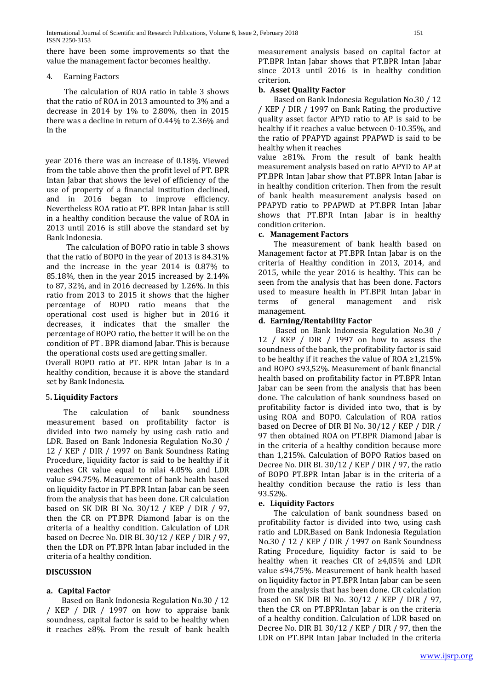there have been some improvements so that the value the management factor becomes healthy.

#### 4. Earning Factors

 The calculation of ROA ratio in table 3 shows that the ratio of ROA in 2013 amounted to 3% and a decrease in 2014 by 1% to 2.80%, then in 2015 there was a decline in return of 0.44% to 2.36% and In the

year 2016 there was an increase of 0.18%. Viewed from the table above then the profit level of PT. BPR Intan Jabar that shows the level of efficiency of the use of property of a financial institution declined, and in 2016 began to improve efficiency. Nevertheless ROA ratio at PT. BPR Intan Jabar is still in a healthy condition because the value of ROA in 2013 until 2016 is still above the standard set by Bank Indonesia.

 The calculation of BOPO ratio in table 3 shows that the ratio of BOPO in the year of 2013 is 84.31% and the increase in the year 2014 is 0.87% to 85.18%, then in the year 2015 increased by 2.14% to 87, 32%, and in 2016 decreased by 1.26%. In this ratio from 2013 to 2015 it shows that the higher percentage of BOPO ratio means that the operational cost used is higher but in 2016 it decreases, it indicates that the smaller the percentage of BOPO ratio, the better it will be on the condition of PT . BPR diamond Jabar. This is because the operational costs used are getting smaller.

Overall BOPO ratio at PT. BPR Intan Jabar is in a healthy condition, because it is above the standard set by Bank Indonesia.

## 5**. Liquidity Factors**

The calculation of bank soundness measurement based on profitability factor is divided into two namely by using cash ratio and LDR. Based on Bank Indonesia Regulation No.30 / 12 / KEP / DIR / 1997 on Bank Soundness Rating Procedure, liquidity factor is said to be healthy if it reaches CR value equal to nilai 4.05% and LDR value ≤94.75%. Measurement of bank health based on liquidity factor in PT.BPR Intan Jabar can be seen from the analysis that has been done. CR calculation based on SK DIR BI No. 30/12 / KEP / DIR / 97, then the CR on PT.BPR Diamond Jabar is on the criteria of a healthy condition. Calculation of LDR based on Decree No. DIR BI. 30/12 / KEP / DIR / 97, then the LDR on PT.BPR Intan Jabar included in the criteria of a healthy condition.

## **DISCUSSION**

## **a. Capital Factor**

 Based on Bank Indonesia Regulation No.30 / 12 / KEP / DIR / 1997 on how to appraise bank soundness, capital factor is said to be healthy when it reaches ≥8%. From the result of bank health

measurement analysis based on capital factor at PT.BPR Intan Jabar shows that PT.BPR Intan Jabar since 2013 until 2016 is in healthy condition criterion.

## **b. Asset Quality Factor**

 Based on Bank Indonesia Regulation No.30 / 12 / KEP / DIR / 1997 on Bank Rating, the productive quality asset factor APYD ratio to AP is said to be healthy if it reaches a value between 0-10.35%, and the ratio of PPAPYD against PPAPWD is said to be healthy when it reaches

value ≥81%. From the result of bank health measurement analysis based on ratio APYD to AP at PT.BPR Intan Jabar show that PT.BPR Intan Jabar is in healthy condition criterion. Then from the result of bank health measurement analysis based on PPAPYD ratio to PPAPWD at PT.BPR Intan Jabar shows that PT.BPR Intan Jabar is in healthy condition criterion.

## **c. Management Factors**

 The measurement of bank health based on Management factor at PT.BPR Intan Jabar is on the criteria of Healthy condition in 2013, 2014, and 2015, while the year 2016 is healthy. This can be seen from the analysis that has been done. Factors used to measure health in PT.BPR Intan Jabar in terms of general management and risk management management.

# **d. Earning/Rentability Factor**

Based on Bank Indonesia Regulation No.30 / 12 / KEP / DIR / 1997 on how to assess the soundness of the bank, the profitability factor is said to be healthy if it reaches the value of ROA  $\geq 1.215\%$ and BOPO ≤93,52%. Measurement of bank financial health based on profitability factor in PT.BPR Intan Jabar can be seen from the analysis that has been done. The calculation of bank soundness based on profitability factor is divided into two, that is by using ROA and BOPO. Calculation of ROA ratios based on Decree of DIR BI No. 30/12 / KEP / DIR / 97 then obtained ROA on PT.BPR Diamond Jabar is in the criteria of a healthy condition because more than 1,215%. Calculation of BOPO Ratios based on Decree No. DIR BI. 30/12 / KEP / DIR / 97, the ratio of BOPO PT.BPR Intan Jabar is in the criteria of a healthy condition because the ratio is less than 93.52%.

## **e. Liquidity Factors**

 The calculation of bank soundness based on profitability factor is divided into two, using cash ratio and LDR.Based on Bank Indonesia Regulation No.30 / 12 / KEP / DIR / 1997 on Bank Soundness Rating Procedure, liquidity factor is said to be healthy when it reaches CR of ≥4,05% and LDR value ≤94,75%. Measurement of bank health based on liquidity factor in PT.BPR Intan Jabar can be seen from the analysis that has been done. CR calculation based on SK DIR BI No. 30/12 / KEP / DIR / 97, then the CR on PT.BPRIntan Jabar is on the criteria of a healthy condition. Calculation of LDR based on Decree No. DIR BI. 30/12 / KEP / DIR / 97, then the LDR on PT.BPR Intan Jabar included in the criteria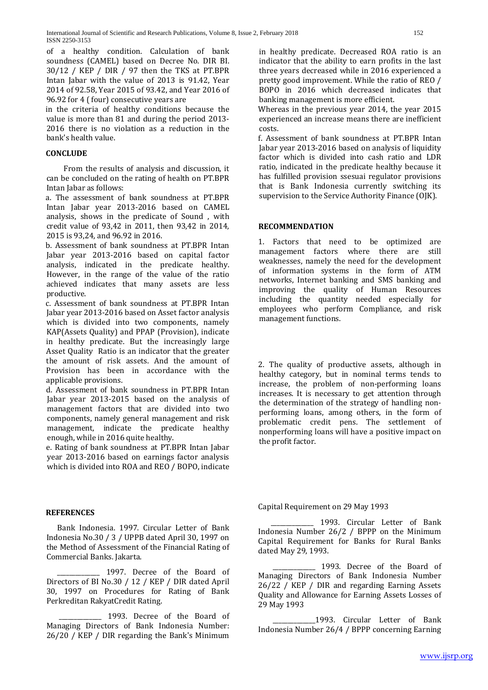of a healthy condition. Calculation of bank soundness (CAMEL) based on Decree No. DIR BI. 30/12 / KEP / DIR / 97 then the TKS at PT.BPR Intan Jabar with the value of 2013 is 91.42, Year 2014 of 92.58, Year 2015 of 93.42, and Year 2016 of 96.92 for 4 ( four) consecutive years are

in the criteria of healthy conditions because the value is more than 81 and during the period 2013- 2016 there is no violation as a reduction in the bank's health value.

### **CONCLUDE**

From the results of analysis and discussion, it can be concluded on the rating of health on PT.BPR Intan Jabar as follows:

a. The assessment of bank soundness at PT.BPR Intan Jabar year 2013-2016 based on CAMEL analysis, shows in the predicate of Sound , with credit value of 93,42 in 2011, then 93,42 in 2014, 2015 is 93,24, and 96.92 in 2016.

b. Assessment of bank soundness at PT.BPR Intan Jabar year 2013-2016 based on capital factor analysis, indicated in the predicate healthy. However, in the range of the value of the ratio achieved indicates that many assets are less productive.

c. Assessment of bank soundness at PT.BPR Intan Jabar year 2013-2016 based on Asset factor analysis which is divided into two components, namely KAP(Assets Quality) and PPAP (Provision), indicate in healthy predicate. But the increasingly large Asset Quality Ratio is an indicator that the greater the amount of risk assets. And the amount of Provision has been in accordance with the applicable provisions.

d. Assessment of bank soundness in PT.BPR Intan Jabar year 2013-2015 based on the analysis of management factors that are divided into two components, namely general management and risk management, indicate the predicate healthy enough, while in 2016 quite healthy.

e. Rating of bank soundness at PT.BPR Intan Jabar year 2013-2016 based on earnings factor analysis which is divided into ROA and REO / BOPO, indicate

**REFERENCES**

 Bank Indonesia. 1997. Circular Letter of Bank Indonesia No.30 / 3 / UPPB dated April 30, 1997 on the Method of Assessment of the Financial Rating of Commercial Banks. Jakarta.

1997. Decree of the Board of Directors of BI No.30 / 12 / KEP / DIR dated April 30, 1997 on Procedures for Rating of Bank Perkreditan RakyatCredit Rating.

 \_\_\_\_\_\_\_\_\_\_\_\_\_\_ 1993. Decree of the Board of Managing Directors of Bank Indonesia Number: 26/20 / KEP / DIR regarding the Bank's Minimum

in healthy predicate. Decreased ROA ratio is an indicator that the ability to earn profits in the last three years decreased while in 2016 experienced a pretty good improvement. While the ratio of REO / BOPO in 2016 which decreased indicates that banking management is more efficient.

Whereas in the previous year 2014, the year 2015 experienced an increase means there are inefficient costs.

f. Assessment of bank soundness at PT.BPR Intan Jabar year 2013-2016 based on analysis of liquidity factor which is divided into cash ratio and LDR ratio, indicated in the predicate healthy because it has fulfilled provision ssesuai regulator provisions that is Bank Indonesia currently switching its supervision to the Service Authority Finance (OJK).

#### **RECOMMENDATION**

1. Factors that need to be optimized are management factors where there are still weaknesses, namely the need for the development of information systems in the form of ATM networks, Internet banking and SMS banking and improving the quality of Human Resources including the quantity needed especially for employees who perform Compliance, and risk management functions.

2. The quality of productive assets, although in healthy category, but in nominal terms tends to increase, the problem of non-performing loans increases. It is necessary to get attention through the determination of the strategy of handling nonperforming loans, among others, in the form of problematic credit pens. The settlement of nonperforming loans will have a positive impact on the profit factor.

Capital Requirement on 29 May 1993

1993. Circular Letter of Bank Indonesia Number 26/2 / BPPP on the Minimum Capital Requirement for Banks for Rural Banks dated May 29, 1993.

 \_\_\_\_\_\_\_\_\_\_\_\_\_\_ 1993. Decree of the Board of Managing Directors of Bank Indonesia Number 26/22 / KEP / DIR and regarding Earning Assets Quality and Allowance for Earning Assets Losses of 29 May 1993

1993. Circular Letter of Bank Indonesia Number 26/4 / BPPP concerning Earning